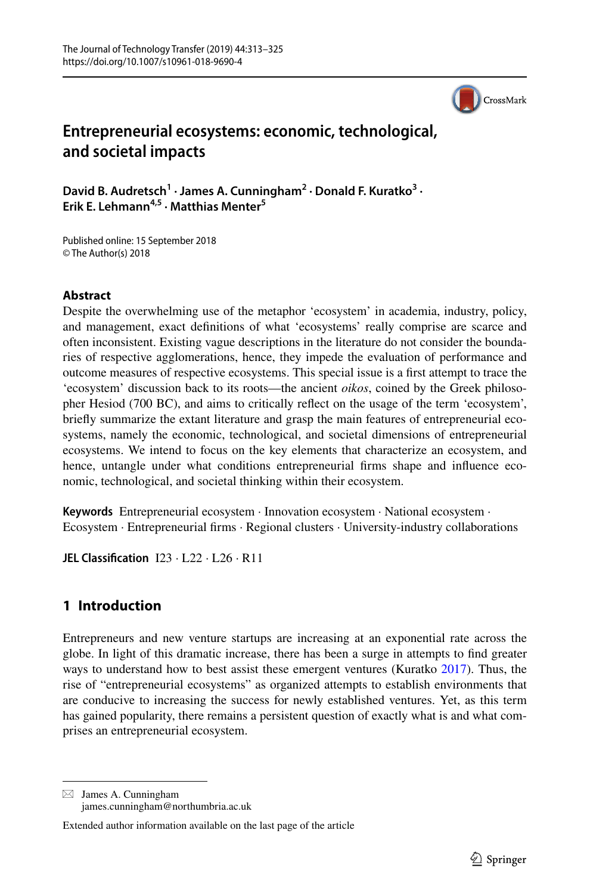

# **Entrepreneurial ecosystems: economic, technological, and societal impacts**

David B. Audretsch<sup>1</sup> · James A. Cunningham<sup>2</sup> · Donald F. Kuratko<sup>3</sup> · **Erik E. Lehmann4,5 · Matthias Menter5**

Published online: 15 September 2018 © The Author(s) 2018

### **Abstract**

Despite the overwhelming use of the metaphor 'ecosystem' in academia, industry, policy, and management, exact defnitions of what 'ecosystems' really comprise are scarce and often inconsistent. Existing vague descriptions in the literature do not consider the boundaries of respective agglomerations, hence, they impede the evaluation of performance and outcome measures of respective ecosystems. This special issue is a frst attempt to trace the 'ecosystem' discussion back to its roots—the ancient *oikos*, coined by the Greek philosopher Hesiod (700 BC), and aims to critically refect on the usage of the term 'ecosystem', briefy summarize the extant literature and grasp the main features of entrepreneurial ecosystems, namely the economic, technological, and societal dimensions of entrepreneurial ecosystems. We intend to focus on the key elements that characterize an ecosystem, and hence, untangle under what conditions entrepreneurial frms shape and infuence economic, technological, and societal thinking within their ecosystem.

**Keywords** Entrepreneurial ecosystem · Innovation ecosystem · National ecosystem · Ecosystem · Entrepreneurial frms · Regional clusters · University-industry collaborations

**JEL Classifcation** I23 · L22 · L26 · R11

## **1 Introduction**

Entrepreneurs and new venture startups are increasing at an exponential rate across the globe. In light of this dramatic increase, there has been a surge in attempts to fnd greater ways to understand how to best assist these emergent ventures (Kuratko [2017\)](#page-11-0). Thus, the rise of "entrepreneurial ecosystems" as organized attempts to establish environments that are conducive to increasing the success for newly established ventures. Yet, as this term has gained popularity, there remains a persistent question of exactly what is and what comprises an entrepreneurial ecosystem.

 $\boxtimes$  James A. Cunningham james.cunningham@northumbria.ac.uk

Extended author information available on the last page of the article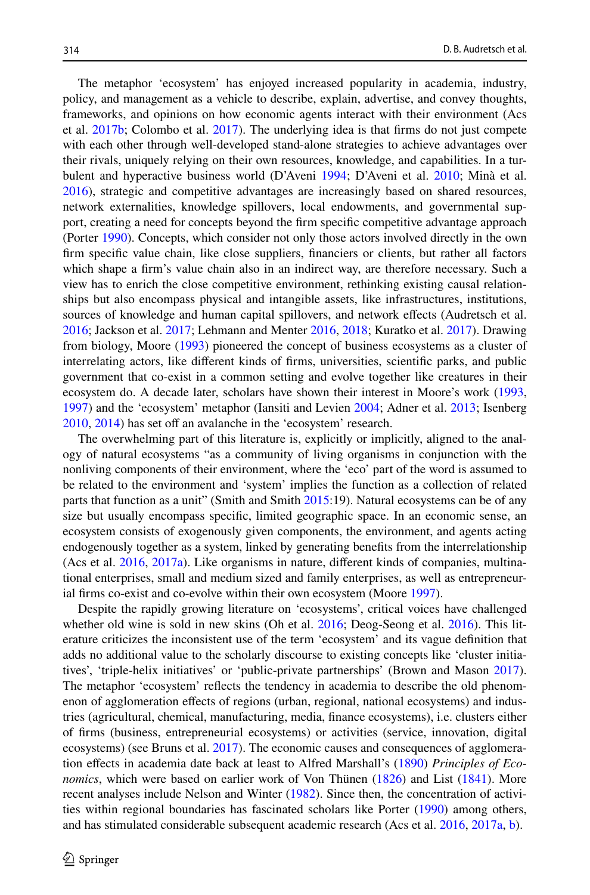The metaphor 'ecosystem' has enjoyed increased popularity in academia, industry, policy, and management as a vehicle to describe, explain, advertise, and convey thoughts, frameworks, and opinions on how economic agents interact with their environment (Acs et al. [2017b;](#page-9-0) Colombo et al. [2017\)](#page-10-0). The underlying idea is that frms do not just compete with each other through well-developed stand-alone strategies to achieve advantages over their rivals, uniquely relying on their own resources, knowledge, and capabilities. In a turbulent and hyperactive business world (D'Aveni [1994](#page-10-1); D'Aveni et al. [2010](#page-10-2); Minà et al. [2016\)](#page-11-1), strategic and competitive advantages are increasingly based on shared resources, network externalities, knowledge spillovers, local endowments, and governmental support, creating a need for concepts beyond the frm specifc competitive advantage approach (Porter [1990\)](#page-11-2). Concepts, which consider not only those actors involved directly in the own frm specifc value chain, like close suppliers, fnanciers or clients, but rather all factors which shape a frm's value chain also in an indirect way, are therefore necessary. Such a view has to enrich the close competitive environment, rethinking existing causal relationships but also encompass physical and intangible assets, like infrastructures, institutions, sources of knowledge and human capital spillovers, and network efects (Audretsch et al. [2016;](#page-9-1) Jackson et al. [2017](#page-11-3); Lehmann and Menter [2016](#page-11-4), [2018](#page-11-5); Kuratko et al. [2017\)](#page-11-6). Drawing from biology, Moore [\(1993](#page-11-7)) pioneered the concept of business ecosystems as a cluster of interrelating actors, like diferent kinds of frms, universities, scientifc parks, and public government that co-exist in a common setting and evolve together like creatures in their ecosystem do. A decade later, scholars have shown their interest in Moore's work [\(1993](#page-11-7), [1997\)](#page-11-8) and the 'ecosystem' metaphor (Iansiti and Levien [2004;](#page-10-3) Adner et al. [2013;](#page-9-2) Isenberg [2010,](#page-10-4) [2014\)](#page-10-5) has set off an avalanche in the 'ecosystem' research.

The overwhelming part of this literature is, explicitly or implicitly, aligned to the analogy of natural ecosystems "as a community of living organisms in conjunction with the nonliving components of their environment, where the 'eco' part of the word is assumed to be related to the environment and 'system' implies the function as a collection of related parts that function as a unit" (Smith and Smith [2015:](#page-11-9)19). Natural ecosystems can be of any size but usually encompass specifc, limited geographic space. In an economic sense, an ecosystem consists of exogenously given components, the environment, and agents acting endogenously together as a system, linked by generating benefts from the interrelationship (Acs et al. [2016](#page-9-3), [2017a](#page-9-4)). Like organisms in nature, diferent kinds of companies, multinational enterprises, small and medium sized and family enterprises, as well as entrepreneurial frms co-exist and co-evolve within their own ecosystem (Moore [1997\)](#page-11-8).

Despite the rapidly growing literature on 'ecosystems', critical voices have challenged whether old wine is sold in new skins (Oh et al. [2016;](#page-11-10) Deog-Seong et al. [2016](#page-10-6)). This literature criticizes the inconsistent use of the term 'ecosystem' and its vague defnition that adds no additional value to the scholarly discourse to existing concepts like 'cluster initiatives', 'triple-helix initiatives' or 'public-private partnerships' (Brown and Mason [2017](#page-10-7)). The metaphor 'ecosystem' refects the tendency in academia to describe the old phenomenon of agglomeration efects of regions (urban, regional, national ecosystems) and industries (agricultural, chemical, manufacturing, media, fnance ecosystems), i.e. clusters either of frms (business, entrepreneurial ecosystems) or activities (service, innovation, digital ecosystems) (see Bruns et al. [2017\)](#page-10-8). The economic causes and consequences of agglomeration efects in academia date back at least to Alfred Marshall's ([1890\)](#page-11-11) *Principles of Economics*, which were based on earlier work of Von Thünen ([1826\)](#page-12-0) and List [\(1841](#page-11-12)). More recent analyses include Nelson and Winter [\(1982](#page-11-13)). Since then, the concentration of activities within regional boundaries has fascinated scholars like Porter ([1990\)](#page-11-2) among others, and has stimulated considerable subsequent academic research (Acs et al. [2016,](#page-9-3) [2017a,](#page-9-4) [b](#page-9-0)).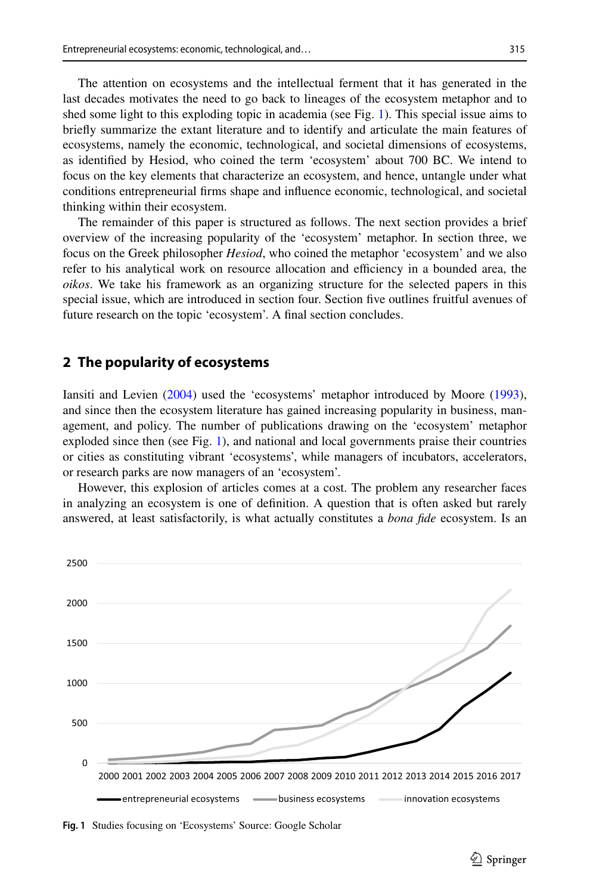The attention on ecosystems and the intellectual ferment that it has generated in the last decades motivates the need to go back to lineages of the ecosystem metaphor and to shed some light to this exploding topic in academia (see Fig. [1](#page-2-0)). This special issue aims to briefy summarize the extant literature and to identify and articulate the main features of ecosystems, namely the economic, technological, and societal dimensions of ecosystems, as identifed by Hesiod, who coined the term 'ecosystem' about 700 BC. We intend to focus on the key elements that characterize an ecosystem, and hence, untangle under what conditions entrepreneurial frms shape and infuence economic, technological, and societal thinking within their ecosystem.

The remainder of this paper is structured as follows. The next section provides a brief overview of the increasing popularity of the 'ecosystem' metaphor. In section three, we focus on the Greek philosopher *Hesiod*, who coined the metaphor 'ecosystem' and we also refer to his analytical work on resource allocation and efficiency in a bounded area, the *oikos*. We take his framework as an organizing structure for the selected papers in this special issue, which are introduced in section four. Section five outlines fruitful avenues of future research on the topic 'ecosystem'. A fnal section concludes.

#### **2 The popularity of ecosystems**

Iansiti and Levien [\(2004](#page-10-3)) used the 'ecosystems' metaphor introduced by Moore [\(1993](#page-11-7)), and since then the ecosystem literature has gained increasing popularity in business, management, and policy. The number of publications drawing on the 'ecosystem' metaphor exploded since then (see Fig. [1\)](#page-2-0), and national and local governments praise their countries or cities as constituting vibrant 'ecosystems', while managers of incubators, accelerators, or research parks are now managers of an 'ecosystem'.

However, this explosion of articles comes at a cost. The problem any researcher faces in analyzing an ecosystem is one of defnition. A question that is often asked but rarely answered, at least satisfactorily, is what actually constitutes a *bona fde* ecosystem. Is an



<span id="page-2-0"></span>**Fig. 1** Studies focusing on 'Ecosystems' Source: Google Scholar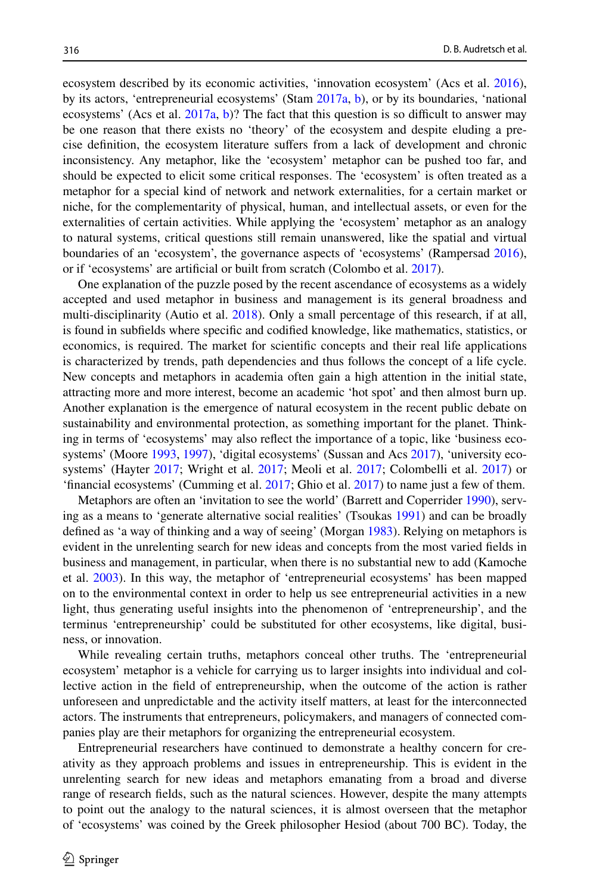ecosystem described by its economic activities, 'innovation ecosystem' (Acs et al. [2016](#page-9-3)), by its actors, 'entrepreneurial ecosystems' (Stam [2017a](#page-11-14), [b](#page-11-15)), or by its boundaries, 'national ecosystems' (Acs et al.  $2017a$ , [b\)](#page-9-0)? The fact that this question is so difficult to answer may be one reason that there exists no 'theory' of the ecosystem and despite eluding a precise defnition, the ecosystem literature sufers from a lack of development and chronic inconsistency. Any metaphor, like the 'ecosystem' metaphor can be pushed too far, and should be expected to elicit some critical responses. The 'ecosystem' is often treated as a metaphor for a special kind of network and network externalities, for a certain market or niche, for the complementarity of physical, human, and intellectual assets, or even for the externalities of certain activities. While applying the 'ecosystem' metaphor as an analogy to natural systems, critical questions still remain unanswered, like the spatial and virtual boundaries of an 'ecosystem', the governance aspects of 'ecosystems' (Rampersad [2016](#page-11-16)), or if 'ecosystems' are artifcial or built from scratch (Colombo et al. [2017\)](#page-10-0).

One explanation of the puzzle posed by the recent ascendance of ecosystems as a widely accepted and used metaphor in business and management is its general broadness and multi-disciplinarity (Autio et al. [2018](#page-9-5)). Only a small percentage of this research, if at all, is found in subfelds where specifc and codifed knowledge, like mathematics, statistics, or economics, is required. The market for scientifc concepts and their real life applications is characterized by trends, path dependencies and thus follows the concept of a life cycle. New concepts and metaphors in academia often gain a high attention in the initial state, attracting more and more interest, become an academic 'hot spot' and then almost burn up. Another explanation is the emergence of natural ecosystem in the recent public debate on sustainability and environmental protection, as something important for the planet. Thinking in terms of 'ecosystems' may also refect the importance of a topic, like 'business ecosystems' (Moore [1993,](#page-11-7) [1997](#page-11-8)), 'digital ecosystems' (Sussan and Acs [2017](#page-11-17)), 'university ecosystems' (Hayter [2017;](#page-10-9) Wright et al. [2017](#page-12-1); Meoli et al. [2017;](#page-11-18) Colombelli et al. [2017](#page-10-10)) or 'fnancial ecosystems' (Cumming et al. [2017;](#page-10-11) Ghio et al. [2017\)](#page-10-12) to name just a few of them.

Metaphors are often an 'invitation to see the world' (Barrett and Coperrider [1990\)](#page-10-13), serving as a means to 'generate alternative social realities' (Tsoukas [1991\)](#page-11-19) and can be broadly defned as 'a way of thinking and a way of seeing' (Morgan [1983\)](#page-11-20). Relying on metaphors is evident in the unrelenting search for new ideas and concepts from the most varied felds in business and management, in particular, when there is no substantial new to add (Kamoche et al. [2003](#page-11-21)). In this way, the metaphor of 'entrepreneurial ecosystems' has been mapped on to the environmental context in order to help us see entrepreneurial activities in a new light, thus generating useful insights into the phenomenon of 'entrepreneurship', and the terminus 'entrepreneurship' could be substituted for other ecosystems, like digital, business, or innovation.

While revealing certain truths, metaphors conceal other truths. The 'entrepreneurial ecosystem' metaphor is a vehicle for carrying us to larger insights into individual and collective action in the feld of entrepreneurship, when the outcome of the action is rather unforeseen and unpredictable and the activity itself matters, at least for the interconnected actors. The instruments that entrepreneurs, policymakers, and managers of connected companies play are their metaphors for organizing the entrepreneurial ecosystem.

Entrepreneurial researchers have continued to demonstrate a healthy concern for creativity as they approach problems and issues in entrepreneurship. This is evident in the unrelenting search for new ideas and metaphors emanating from a broad and diverse range of research felds, such as the natural sciences. However, despite the many attempts to point out the analogy to the natural sciences, it is almost overseen that the metaphor of 'ecosystems' was coined by the Greek philosopher Hesiod (about 700 BC). Today, the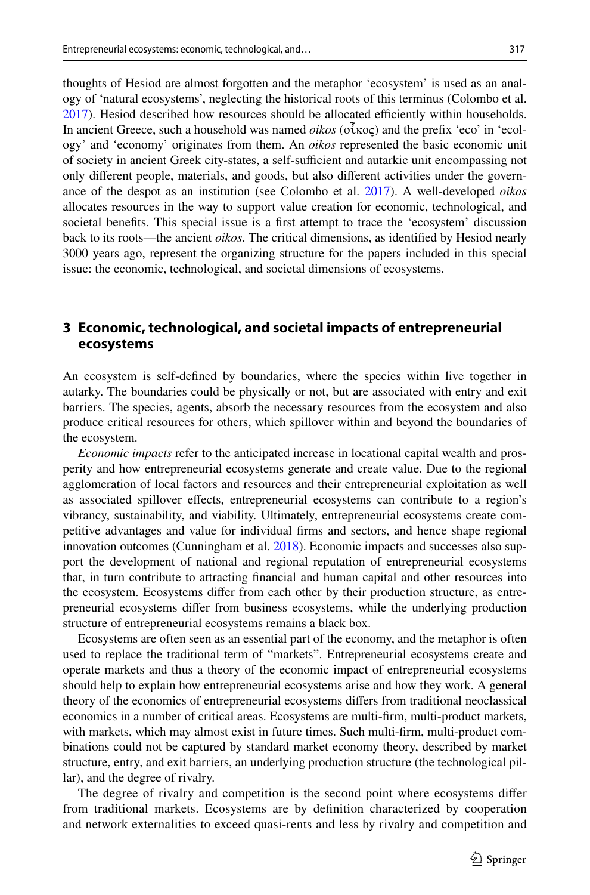thoughts of Hesiod are almost forgotten and the metaphor 'ecosystem' is used as an analogy of 'natural ecosystems', neglecting the historical roots of this terminus (Colombo et al. [2017\)](#page-10-0). Hesiod described how resources should be allocated efficiently within households. In ancient Greece, such a household was named *oikos* (οἶκος) and the prefx 'eco' in 'ecology' and 'economy' originates from them. An *oikos* represented the basic economic unit of society in ancient Greek city-states, a self-sufficient and autarkic unit encompassing not only diferent people, materials, and goods, but also diferent activities under the governance of the despot as an institution (see Colombo et al. [2017\)](#page-10-0). A well-developed *oikos* allocates resources in the way to support value creation for economic, technological, and societal benefts. This special issue is a frst attempt to trace the 'ecosystem' discussion back to its roots—the ancient *oikos*. The critical dimensions, as identifed by Hesiod nearly 3000 years ago, represent the organizing structure for the papers included in this special issue: the economic, technological, and societal dimensions of ecosystems.

## **3 Economic, technological, and societal impacts of entrepreneurial ecosystems**

An ecosystem is self-defned by boundaries, where the species within live together in autarky. The boundaries could be physically or not, but are associated with entry and exit barriers. The species, agents, absorb the necessary resources from the ecosystem and also produce critical resources for others, which spillover within and beyond the boundaries of the ecosystem.

*Economic impacts* refer to the anticipated increase in locational capital wealth and prosperity and how entrepreneurial ecosystems generate and create value. Due to the regional agglomeration of local factors and resources and their entrepreneurial exploitation as well as associated spillover efects, entrepreneurial ecosystems can contribute to a region's vibrancy, sustainability, and viability. Ultimately, entrepreneurial ecosystems create competitive advantages and value for individual frms and sectors, and hence shape regional innovation outcomes (Cunningham et al. [2018\)](#page-10-14). Economic impacts and successes also support the development of national and regional reputation of entrepreneurial ecosystems that, in turn contribute to attracting fnancial and human capital and other resources into the ecosystem. Ecosystems difer from each other by their production structure, as entrepreneurial ecosystems difer from business ecosystems, while the underlying production structure of entrepreneurial ecosystems remains a black box.

Ecosystems are often seen as an essential part of the economy, and the metaphor is often used to replace the traditional term of "markets". Entrepreneurial ecosystems create and operate markets and thus a theory of the economic impact of entrepreneurial ecosystems should help to explain how entrepreneurial ecosystems arise and how they work. A general theory of the economics of entrepreneurial ecosystems difers from traditional neoclassical economics in a number of critical areas. Ecosystems are multi-frm, multi-product markets, with markets, which may almost exist in future times. Such multi-frm, multi-product combinations could not be captured by standard market economy theory, described by market structure, entry, and exit barriers, an underlying production structure (the technological pillar), and the degree of rivalry.

The degree of rivalry and competition is the second point where ecosystems difer from traditional markets. Ecosystems are by defnition characterized by cooperation and network externalities to exceed quasi-rents and less by rivalry and competition and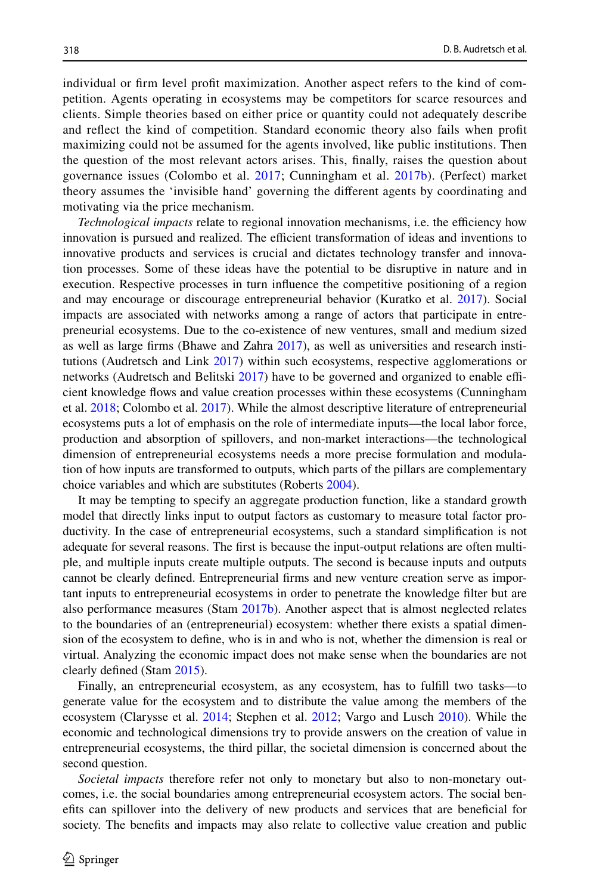individual or frm level proft maximization. Another aspect refers to the kind of competition. Agents operating in ecosystems may be competitors for scarce resources and clients. Simple theories based on either price or quantity could not adequately describe and refect the kind of competition. Standard economic theory also fails when proft maximizing could not be assumed for the agents involved, like public institutions. Then the question of the most relevant actors arises. This, fnally, raises the question about governance issues (Colombo et al. [2017](#page-10-0); Cunningham et al. [2017b](#page-10-15)). (Perfect) market theory assumes the 'invisible hand' governing the diferent agents by coordinating and motivating via the price mechanism.

*Technological impacts* relate to regional innovation mechanisms, i.e. the efficiency how innovation is pursued and realized. The efficient transformation of ideas and inventions to innovative products and services is crucial and dictates technology transfer and innovation processes. Some of these ideas have the potential to be disruptive in nature and in execution. Respective processes in turn infuence the competitive positioning of a region and may encourage or discourage entrepreneurial behavior (Kuratko et al. [2017\)](#page-11-6). Social impacts are associated with networks among a range of actors that participate in entrepreneurial ecosystems. Due to the co-existence of new ventures, small and medium sized as well as large frms (Bhawe and Zahra [2017\)](#page-10-16), as well as universities and research institutions (Audretsch and Link [2017](#page-9-6)) within such ecosystems, respective agglomerations or networks (Audretsch and Belitski  $2017$ ) have to be governed and organized to enable efficient knowledge fows and value creation processes within these ecosystems (Cunningham et al. [2018](#page-10-14); Colombo et al. [2017\)](#page-10-0). While the almost descriptive literature of entrepreneurial ecosystems puts a lot of emphasis on the role of intermediate inputs—the local labor force, production and absorption of spillovers, and non-market interactions—the technological dimension of entrepreneurial ecosystems needs a more precise formulation and modulation of how inputs are transformed to outputs, which parts of the pillars are complementary choice variables and which are substitutes (Roberts [2004](#page-11-22)).

It may be tempting to specify an aggregate production function, like a standard growth model that directly links input to output factors as customary to measure total factor productivity. In the case of entrepreneurial ecosystems, such a standard simplifcation is not adequate for several reasons. The frst is because the input-output relations are often multiple, and multiple inputs create multiple outputs. The second is because inputs and outputs cannot be clearly defned. Entrepreneurial frms and new venture creation serve as important inputs to entrepreneurial ecosystems in order to penetrate the knowledge flter but are also performance measures (Stam [2017b\)](#page-11-15). Another aspect that is almost neglected relates to the boundaries of an (entrepreneurial) ecosystem: whether there exists a spatial dimension of the ecosystem to defne, who is in and who is not, whether the dimension is real or virtual. Analyzing the economic impact does not make sense when the boundaries are not clearly defned (Stam [2015](#page-11-23)).

Finally, an entrepreneurial ecosystem, as any ecosystem, has to fulfll two tasks—to generate value for the ecosystem and to distribute the value among the members of the ecosystem (Clarysse et al. [2014](#page-10-17); Stephen et al. [2012](#page-11-24); Vargo and Lusch [2010\)](#page-11-25). While the economic and technological dimensions try to provide answers on the creation of value in entrepreneurial ecosystems, the third pillar, the societal dimension is concerned about the second question.

*Societal impacts* therefore refer not only to monetary but also to non-monetary outcomes, i.e. the social boundaries among entrepreneurial ecosystem actors. The social benefts can spillover into the delivery of new products and services that are benefcial for society. The benefts and impacts may also relate to collective value creation and public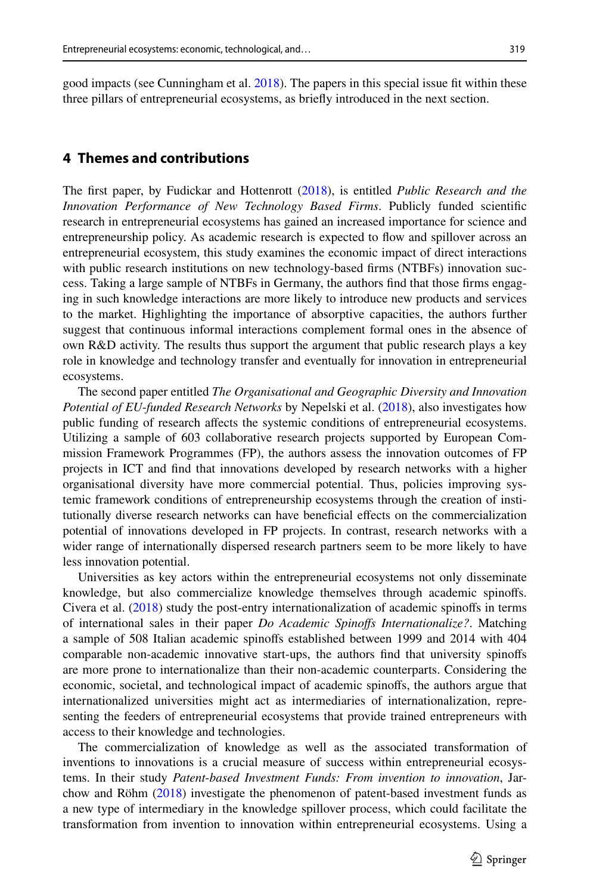good impacts (see Cunningham et al. [2018](#page-10-14)). The papers in this special issue ft within these three pillars of entrepreneurial ecosystems, as briefy introduced in the next section.

### **4 Themes and contributions**

The frst paper, by Fudickar and Hottenrott ([2018\)](#page-10-18), is entitled *Public Research and the Innovation Performance of New Technology Based Firms*. Publicly funded scientifc research in entrepreneurial ecosystems has gained an increased importance for science and entrepreneurship policy. As academic research is expected to fow and spillover across an entrepreneurial ecosystem, this study examines the economic impact of direct interactions with public research institutions on new technology-based firms (NTBFs) innovation success. Taking a large sample of NTBFs in Germany, the authors fnd that those frms engaging in such knowledge interactions are more likely to introduce new products and services to the market. Highlighting the importance of absorptive capacities, the authors further suggest that continuous informal interactions complement formal ones in the absence of own R&D activity. The results thus support the argument that public research plays a key role in knowledge and technology transfer and eventually for innovation in entrepreneurial ecosystems.

The second paper entitled *The Organisational and Geographic Diversity and Innovation Potential of EU*-*funded Research Networks* by Nepelski et al. ([2018\)](#page-11-26), also investigates how public funding of research afects the systemic conditions of entrepreneurial ecosystems. Utilizing a sample of 603 collaborative research projects supported by European Commission Framework Programmes (FP), the authors assess the innovation outcomes of FP projects in ICT and fnd that innovations developed by research networks with a higher organisational diversity have more commercial potential. Thus, policies improving systemic framework conditions of entrepreneurship ecosystems through the creation of institutionally diverse research networks can have benefcial efects on the commercialization potential of innovations developed in FP projects. In contrast, research networks with a wider range of internationally dispersed research partners seem to be more likely to have less innovation potential.

Universities as key actors within the entrepreneurial ecosystems not only disseminate knowledge, but also commercialize knowledge themselves through academic spinofs. Civera et al. [\(2018](#page-10-19)) study the post-entry internationalization of academic spinofs in terms of international sales in their paper *Do Academic Spinofs Internationalize?*. Matching a sample of 508 Italian academic spinofs established between 1999 and 2014 with 404 comparable non-academic innovative start-ups, the authors fnd that university spinofs are more prone to internationalize than their non-academic counterparts. Considering the economic, societal, and technological impact of academic spinofs, the authors argue that internationalized universities might act as intermediaries of internationalization, representing the feeders of entrepreneurial ecosystems that provide trained entrepreneurs with access to their knowledge and technologies.

The commercialization of knowledge as well as the associated transformation of inventions to innovations is a crucial measure of success within entrepreneurial ecosystems. In their study *Patent*-*based Investment Funds: From invention to innovation*, Jarchow and Röhm ([2018\)](#page-11-27) investigate the phenomenon of patent-based investment funds as a new type of intermediary in the knowledge spillover process, which could facilitate the transformation from invention to innovation within entrepreneurial ecosystems. Using a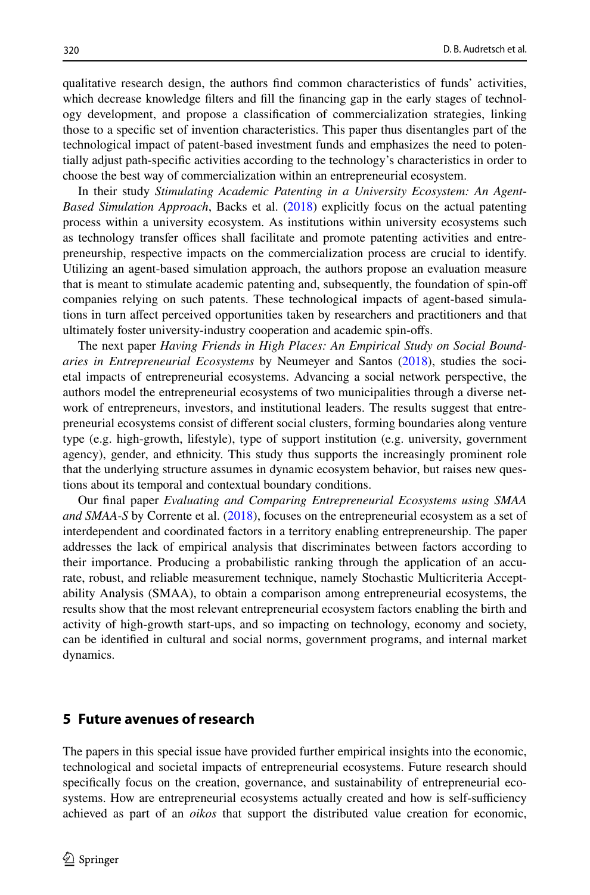qualitative research design, the authors fnd common characteristics of funds' activities, which decrease knowledge flters and fll the fnancing gap in the early stages of technology development, and propose a classifcation of commercialization strategies, linking those to a specifc set of invention characteristics. This paper thus disentangles part of the technological impact of patent-based investment funds and emphasizes the need to potentially adjust path-specifc activities according to the technology's characteristics in order to choose the best way of commercialization within an entrepreneurial ecosystem.

In their study *Stimulating Academic Patenting in a University Ecosystem: An Agent*-*Based Simulation Approach*, Backs et al. [\(2018](#page-10-20)) explicitly focus on the actual patenting process within a university ecosystem. As institutions within university ecosystems such as technology transfer offices shall facilitate and promote patenting activities and entrepreneurship, respective impacts on the commercialization process are crucial to identify. Utilizing an agent-based simulation approach, the authors propose an evaluation measure that is meant to stimulate academic patenting and, subsequently, the foundation of spin-of companies relying on such patents. These technological impacts of agent-based simulations in turn afect perceived opportunities taken by researchers and practitioners and that ultimately foster university-industry cooperation and academic spin-ofs.

The next paper *Having Friends in High Places: An Empirical Study on Social Boundaries in Entrepreneurial Ecosystems* by Neumeyer and Santos ([2018\)](#page-11-28), studies the societal impacts of entrepreneurial ecosystems. Advancing a social network perspective, the authors model the entrepreneurial ecosystems of two municipalities through a diverse network of entrepreneurs, investors, and institutional leaders. The results suggest that entrepreneurial ecosystems consist of diferent social clusters, forming boundaries along venture type (e.g. high-growth, lifestyle), type of support institution (e.g. university, government agency), gender, and ethnicity. This study thus supports the increasingly prominent role that the underlying structure assumes in dynamic ecosystem behavior, but raises new questions about its temporal and contextual boundary conditions.

Our fnal paper *Evaluating and Comparing Entrepreneurial Ecosystems using SMAA and SMAA*-*S* by Corrente et al. ([2018\)](#page-10-21), focuses on the entrepreneurial ecosystem as a set of interdependent and coordinated factors in a territory enabling entrepreneurship. The paper addresses the lack of empirical analysis that discriminates between factors according to their importance. Producing a probabilistic ranking through the application of an accurate, robust, and reliable measurement technique, namely Stochastic Multicriteria Acceptability Analysis (SMAA), to obtain a comparison among entrepreneurial ecosystems, the results show that the most relevant entrepreneurial ecosystem factors enabling the birth and activity of high-growth start-ups, and so impacting on technology, economy and society, can be identifed in cultural and social norms, government programs, and internal market dynamics.

### **5 Future avenues of research**

The papers in this special issue have provided further empirical insights into the economic, technological and societal impacts of entrepreneurial ecosystems. Future research should specifcally focus on the creation, governance, and sustainability of entrepreneurial ecosystems. How are entrepreneurial ecosystems actually created and how is self-sufficiency achieved as part of an *oikos* that support the distributed value creation for economic,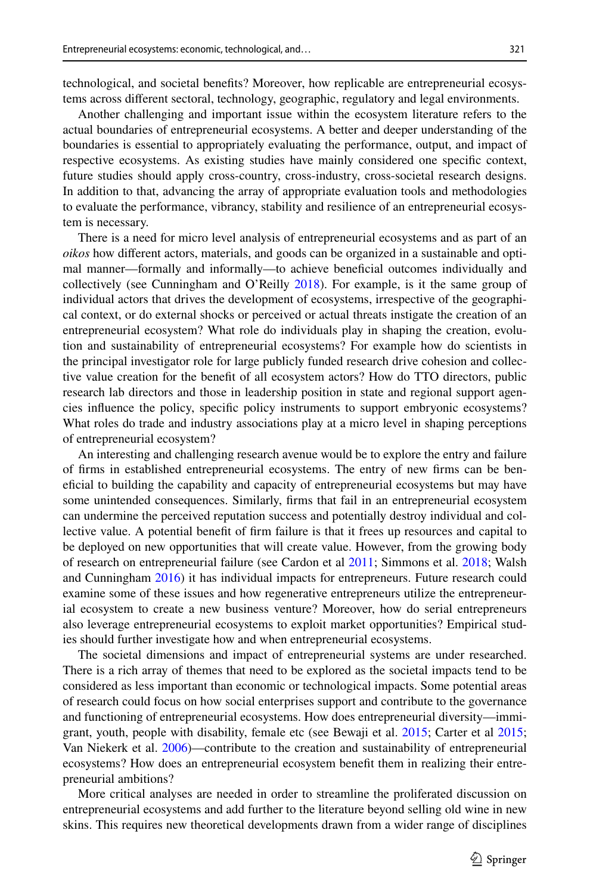technological, and societal benefts? Moreover, how replicable are entrepreneurial ecosystems across diferent sectoral, technology, geographic, regulatory and legal environments.

Another challenging and important issue within the ecosystem literature refers to the actual boundaries of entrepreneurial ecosystems. A better and deeper understanding of the boundaries is essential to appropriately evaluating the performance, output, and impact of respective ecosystems. As existing studies have mainly considered one specifc context, future studies should apply cross-country, cross-industry, cross-societal research designs. In addition to that, advancing the array of appropriate evaluation tools and methodologies to evaluate the performance, vibrancy, stability and resilience of an entrepreneurial ecosystem is necessary.

There is a need for micro level analysis of entrepreneurial ecosystems and as part of an *oikos* how diferent actors, materials, and goods can be organized in a sustainable and optimal manner—formally and informally—to achieve benefcial outcomes individually and collectively (see Cunningham and O'Reilly [2018](#page-10-22)). For example, is it the same group of individual actors that drives the development of ecosystems, irrespective of the geographical context, or do external shocks or perceived or actual threats instigate the creation of an entrepreneurial ecosystem? What role do individuals play in shaping the creation, evolution and sustainability of entrepreneurial ecosystems? For example how do scientists in the principal investigator role for large publicly funded research drive cohesion and collective value creation for the beneft of all ecosystem actors? How do TTO directors, public research lab directors and those in leadership position in state and regional support agencies infuence the policy, specifc policy instruments to support embryonic ecosystems? What roles do trade and industry associations play at a micro level in shaping perceptions of entrepreneurial ecosystem?

An interesting and challenging research avenue would be to explore the entry and failure of frms in established entrepreneurial ecosystems. The entry of new frms can be benefcial to building the capability and capacity of entrepreneurial ecosystems but may have some unintended consequences. Similarly, frms that fail in an entrepreneurial ecosystem can undermine the perceived reputation success and potentially destroy individual and collective value. A potential beneft of frm failure is that it frees up resources and capital to be deployed on new opportunities that will create value. However, from the growing body of research on entrepreneurial failure (see Cardon et al [2011;](#page-10-23) Simmons et al. [2018](#page-11-29); Walsh and Cunningham [2016\)](#page-12-2) it has individual impacts for entrepreneurs. Future research could examine some of these issues and how regenerative entrepreneurs utilize the entrepreneurial ecosystem to create a new business venture? Moreover, how do serial entrepreneurs also leverage entrepreneurial ecosystems to exploit market opportunities? Empirical studies should further investigate how and when entrepreneurial ecosystems.

The societal dimensions and impact of entrepreneurial systems are under researched. There is a rich array of themes that need to be explored as the societal impacts tend to be considered as less important than economic or technological impacts. Some potential areas of research could focus on how social enterprises support and contribute to the governance and functioning of entrepreneurial ecosystems. How does entrepreneurial diversity—immigrant, youth, people with disability, female etc (see Bewaji et al. [2015;](#page-10-24) Carter et al [2015;](#page-10-25) Van Niekerk et al. [2006\)](#page-11-30)—contribute to the creation and sustainability of entrepreneurial ecosystems? How does an entrepreneurial ecosystem beneft them in realizing their entrepreneurial ambitions?

More critical analyses are needed in order to streamline the proliferated discussion on entrepreneurial ecosystems and add further to the literature beyond selling old wine in new skins. This requires new theoretical developments drawn from a wider range of disciplines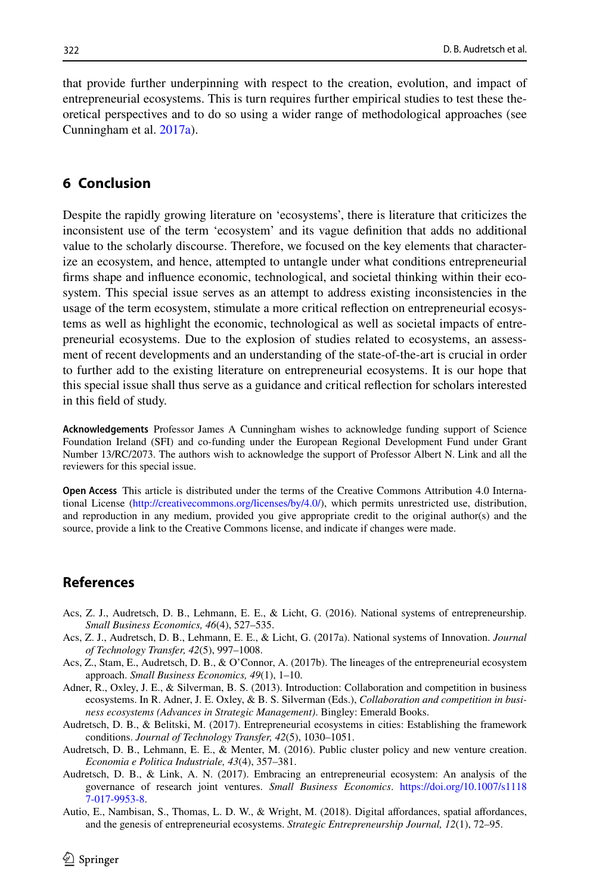that provide further underpinning with respect to the creation, evolution, and impact of entrepreneurial ecosystems. This is turn requires further empirical studies to test these theoretical perspectives and to do so using a wider range of methodological approaches (see Cunningham et al. [2017a](#page-10-26)).

#### **6 Conclusion**

Despite the rapidly growing literature on 'ecosystems', there is literature that criticizes the inconsistent use of the term 'ecosystem' and its vague defnition that adds no additional value to the scholarly discourse. Therefore, we focused on the key elements that characterize an ecosystem, and hence, attempted to untangle under what conditions entrepreneurial frms shape and infuence economic, technological, and societal thinking within their ecosystem. This special issue serves as an attempt to address existing inconsistencies in the usage of the term ecosystem, stimulate a more critical refection on entrepreneurial ecosystems as well as highlight the economic, technological as well as societal impacts of entrepreneurial ecosystems. Due to the explosion of studies related to ecosystems, an assessment of recent developments and an understanding of the state-of-the-art is crucial in order to further add to the existing literature on entrepreneurial ecosystems. It is our hope that this special issue shall thus serve as a guidance and critical refection for scholars interested in this feld of study.

**Acknowledgements** Professor James A Cunningham wishes to acknowledge funding support of Science Foundation Ireland (SFI) and co-funding under the European Regional Development Fund under Grant Number 13/RC/2073. The authors wish to acknowledge the support of Professor Albert N. Link and all the reviewers for this special issue.

**Open Access** This article is distributed under the terms of the Creative Commons Attribution 4.0 International License ([http://creativecommons.org/licenses/by/4.0/\)](http://creativecommons.org/licenses/by/4.0/), which permits unrestricted use, distribution, and reproduction in any medium, provided you give appropriate credit to the original author(s) and the source, provide a link to the Creative Commons license, and indicate if changes were made.

#### **References**

- <span id="page-9-3"></span>Acs, Z. J., Audretsch, D. B., Lehmann, E. E., & Licht, G. (2016). National systems of entrepreneurship. *Small Business Economics, 46*(4), 527–535.
- <span id="page-9-4"></span>Acs, Z. J., Audretsch, D. B., Lehmann, E. E., & Licht, G. (2017a). National systems of Innovation. *Journal of Technology Transfer, 42*(5), 997–1008.
- <span id="page-9-0"></span>Acs, Z., Stam, E., Audretsch, D. B., & O'Connor, A. (2017b). The lineages of the entrepreneurial ecosystem approach. *Small Business Economics, 49*(1), 1–10.
- <span id="page-9-2"></span>Adner, R., Oxley, J. E., & Silverman, B. S. (2013). Introduction: Collaboration and competition in business ecosystems. In R. Adner, J. E. Oxley, & B. S. Silverman (Eds.), *Collaboration and competition in business ecosystems (Advances in Strategic Management)*. Bingley: Emerald Books.
- <span id="page-9-7"></span>Audretsch, D. B., & Belitski, M. (2017). Entrepreneurial ecosystems in cities: Establishing the framework conditions. *Journal of Technology Transfer, 42*(5), 1030–1051.
- <span id="page-9-1"></span>Audretsch, D. B., Lehmann, E. E., & Menter, M. (2016). Public cluster policy and new venture creation. *Economia e Politica Industriale, 43*(4), 357–381.
- <span id="page-9-6"></span>Audretsch, D. B., & Link, A. N. (2017). Embracing an entrepreneurial ecosystem: An analysis of the governance of research joint ventures. *Small Business Economics*. [https://doi.org/10.1007/s1118](https://doi.org/10.1007/s11187-017-9953-8) [7-017-9953-8.](https://doi.org/10.1007/s11187-017-9953-8)
- <span id="page-9-5"></span>Autio, E., Nambisan, S., Thomas, L. D. W., & Wright, M. (2018). Digital affordances, spatial affordances, and the genesis of entrepreneurial ecosystems. *Strategic Entrepreneurship Journal, 12*(1), 72–95.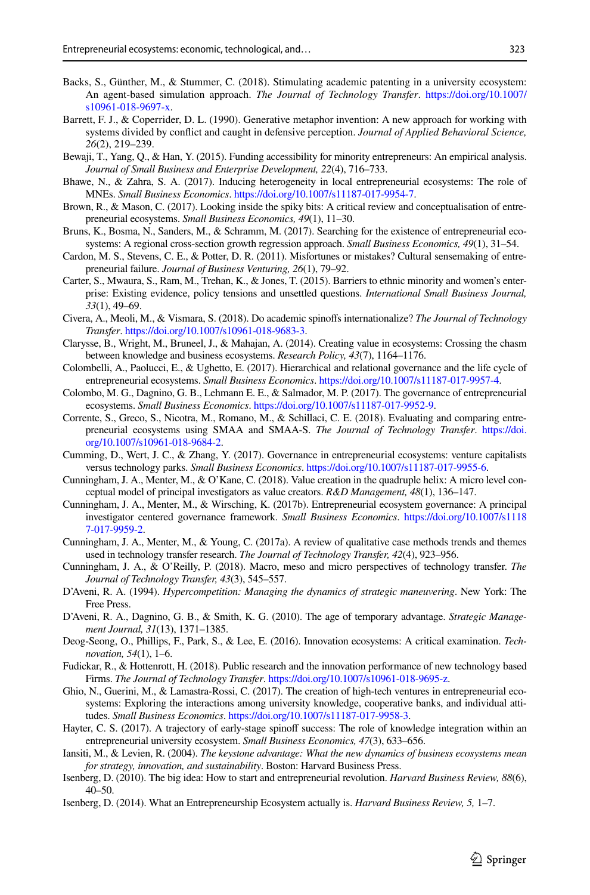- <span id="page-10-20"></span>Backs, S., Günther, M., & Stummer, C. (2018). Stimulating academic patenting in a university ecosystem: An agent-based simulation approach. *The Journal of Technology Transfer*. [https://doi.org/10.1007/](https://doi.org/10.1007/s10961-018-9697-x) [s10961-018-9697-x.](https://doi.org/10.1007/s10961-018-9697-x)
- <span id="page-10-13"></span>Barrett, F. J., & Coperrider, D. L. (1990). Generative metaphor invention: A new approach for working with systems divided by confict and caught in defensive perception. *Journal of Applied Behavioral Science, 26*(2), 219–239.
- <span id="page-10-24"></span>Bewaji, T., Yang, Q., & Han, Y. (2015). Funding accessibility for minority entrepreneurs: An empirical analysis. *Journal of Small Business and Enterprise Development, 22*(4), 716–733.
- <span id="page-10-16"></span>Bhawe, N., & Zahra, S. A. (2017). Inducing heterogeneity in local entrepreneurial ecosystems: The role of MNEs. *Small Business Economics*.<https://doi.org/10.1007/s11187-017-9954-7>.
- <span id="page-10-7"></span>Brown, R., & Mason, C. (2017). Looking inside the spiky bits: A critical review and conceptualisation of entrepreneurial ecosystems. *Small Business Economics, 49*(1), 11–30.
- <span id="page-10-8"></span>Bruns, K., Bosma, N., Sanders, M., & Schramm, M. (2017). Searching for the existence of entrepreneurial ecosystems: A regional cross-section growth regression approach. *Small Business Economics, 49*(1), 31–54.
- <span id="page-10-23"></span>Cardon, M. S., Stevens, C. E., & Potter, D. R. (2011). Misfortunes or mistakes? Cultural sensemaking of entrepreneurial failure. *Journal of Business Venturing, 26*(1), 79–92.
- <span id="page-10-25"></span>Carter, S., Mwaura, S., Ram, M., Trehan, K., & Jones, T. (2015). Barriers to ethnic minority and women's enterprise: Existing evidence, policy tensions and unsettled questions. *International Small Business Journal, 33*(1), 49–69.
- <span id="page-10-19"></span>Civera, A., Meoli, M., & Vismara, S. (2018). Do academic spinofs internationalize? *The Journal of Technology Transfer*.<https://doi.org/10.1007/s10961-018-9683-3>.
- <span id="page-10-17"></span>Clarysse, B., Wright, M., Bruneel, J., & Mahajan, A. (2014). Creating value in ecosystems: Crossing the chasm between knowledge and business ecosystems. *Research Policy, 43*(7), 1164–1176.
- <span id="page-10-10"></span>Colombelli, A., Paolucci, E., & Ughetto, E. (2017). Hierarchical and relational governance and the life cycle of entrepreneurial ecosystems. *Small Business Economics*. [https://doi.org/10.1007/s11187-017-9957-4.](https://doi.org/10.1007/s11187-017-9957-4)
- <span id="page-10-0"></span>Colombo, M. G., Dagnino, G. B., Lehmann E. E., & Salmador, M. P. (2017). The governance of entrepreneurial ecosystems. *Small Business Economics*.<https://doi.org/10.1007/s11187-017-9952-9>.
- <span id="page-10-21"></span>Corrente, S., Greco, S., Nicotra, M., Romano, M., & Schillaci, C. E. (2018). Evaluating and comparing entrepreneurial ecosystems using SMAA and SMAA-S. *The Journal of Technology Transfer*. [https://doi.](https://doi.org/10.1007/s10961-018-9684-2) [org/10.1007/s10961-018-9684-2.](https://doi.org/10.1007/s10961-018-9684-2)
- <span id="page-10-11"></span>Cumming, D., Wert, J. C., & Zhang, Y. (2017). Governance in entrepreneurial ecosystems: venture capitalists versus technology parks. *Small Business Economics*.<https://doi.org/10.1007/s11187-017-9955-6>.
- <span id="page-10-14"></span>Cunningham, J. A., Menter, M., & O'Kane, C. (2018). Value creation in the quadruple helix: A micro level conceptual model of principal investigators as value creators. *R&D Management, 48*(1), 136–147.
- <span id="page-10-15"></span>Cunningham, J. A., Menter, M., & Wirsching, K. (2017b). Entrepreneurial ecosystem governance: A principal investigator centered governance framework. *Small Business Economics*. [https://doi.org/10.1007/s1118](https://doi.org/10.1007/s11187-017-9959-2) [7-017-9959-2](https://doi.org/10.1007/s11187-017-9959-2).
- <span id="page-10-26"></span>Cunningham, J. A., Menter, M., & Young, C. (2017a). A review of qualitative case methods trends and themes used in technology transfer research. *The Journal of Technology Transfer, 42*(4), 923–956.
- <span id="page-10-22"></span>Cunningham, J. A., & O'Reilly, P. (2018). Macro, meso and micro perspectives of technology transfer. *The Journal of Technology Transfer, 43*(3), 545–557.
- <span id="page-10-1"></span>D'Aveni, R. A. (1994). *Hypercompetition: Managing the dynamics of strategic maneuvering*. New York: The Free Press.
- <span id="page-10-2"></span>D'Aveni, R. A., Dagnino, G. B., & Smith, K. G. (2010). The age of temporary advantage. *Strategic Management Journal, 31*(13), 1371–1385.
- <span id="page-10-6"></span>Deog-Seong, O., Phillips, F., Park, S., & Lee, E. (2016). Innovation ecosystems: A critical examination. *Technovation, 54*(1), 1–6.
- <span id="page-10-18"></span>Fudickar, R., & Hottenrott, H. (2018). Public research and the innovation performance of new technology based Firms. *The Journal of Technology Transfer*. [https://doi.org/10.1007/s10961-018-9695-z.](https://doi.org/10.1007/s10961-018-9695-z)
- <span id="page-10-12"></span>Ghio, N., Guerini, M., & Lamastra-Rossi, C. (2017). The creation of high-tech ventures in entrepreneurial ecosystems: Exploring the interactions among university knowledge, cooperative banks, and individual attitudes. *Small Business Economics*.<https://doi.org/10.1007/s11187-017-9958-3>.
- <span id="page-10-9"></span>Hayter, C. S. (2017). A trajectory of early-stage spinoff success: The role of knowledge integration within an entrepreneurial university ecosystem. *Small Business Economics, 47*(3), 633–656.
- <span id="page-10-3"></span>Iansiti, M., & Levien, R. (2004). *The keystone advantage: What the new dynamics of business ecosystems mean for strategy, innovation, and sustainability*. Boston: Harvard Business Press.
- <span id="page-10-4"></span>Isenberg, D. (2010). The big idea: How to start and entrepreneurial revolution. *Harvard Business Review, 88*(6), 40–50.
- <span id="page-10-5"></span>Isenberg, D. (2014). What an Entrepreneurship Ecosystem actually is. *Harvard Business Review, 5,* 1–7.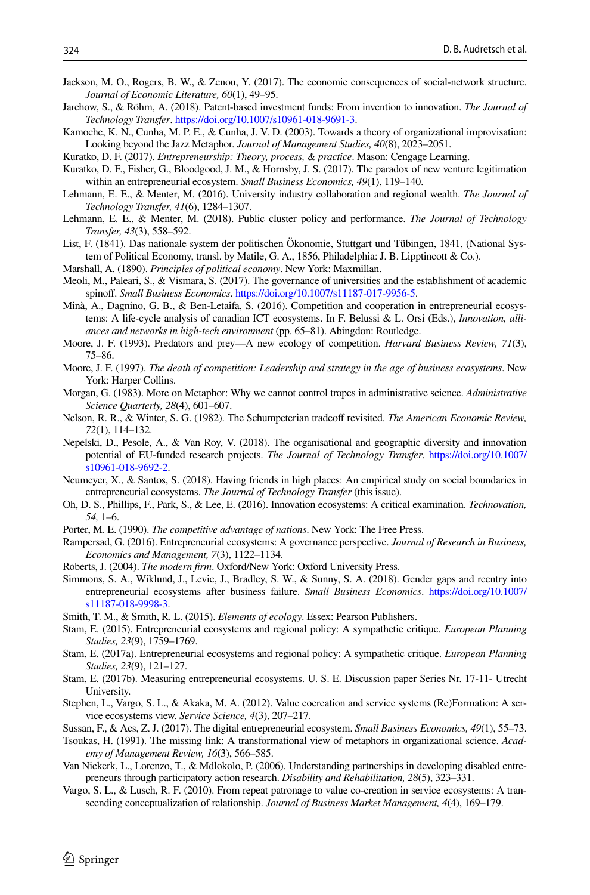- <span id="page-11-3"></span>Jackson, M. O., Rogers, B. W., & Zenou, Y. (2017). The economic consequences of social-network structure. *Journal of Economic Literature, 60*(1), 49–95.
- <span id="page-11-27"></span>Jarchow, S., & Röhm, A. (2018). Patent-based investment funds: From invention to innovation. *The Journal of Technology Transfer*.<https://doi.org/10.1007/s10961-018-9691-3>.
- <span id="page-11-21"></span>Kamoche, K. N., Cunha, M. P. E., & Cunha, J. V. D. (2003). Towards a theory of organizational improvisation: Looking beyond the Jazz Metaphor. *Journal of Management Studies, 40*(8), 2023–2051.
- <span id="page-11-0"></span>Kuratko, D. F. (2017). *Entrepreneurship: Theory, process, & practice*. Mason: Cengage Learning.
- <span id="page-11-6"></span>Kuratko, D. F., Fisher, G., Bloodgood, J. M., & Hornsby, J. S. (2017). The paradox of new venture legitimation within an entrepreneurial ecosystem. *Small Business Economics, 49*(1), 119–140.
- <span id="page-11-4"></span>Lehmann, E. E., & Menter, M. (2016). University industry collaboration and regional wealth. *The Journal of Technology Transfer, 41*(6), 1284–1307.
- <span id="page-11-5"></span>Lehmann, E. E., & Menter, M. (2018). Public cluster policy and performance. *The Journal of Technology Transfer, 43*(3), 558–592.
- <span id="page-11-12"></span>List, F. (1841). Das nationale system der politischen Ökonomie, Stuttgart und Tübingen, 1841, (National System of Political Economy, transl. by Matile, G. A., 1856, Philadelphia: J. B. Lipptincott & Co.).

<span id="page-11-11"></span>Marshall, A. (1890). *Principles of political economy*. New York: Maxmillan.

- <span id="page-11-18"></span>Meoli, M., Paleari, S., & Vismara, S. (2017). The governance of universities and the establishment of academic spinof. *Small Business Economics*.<https://doi.org/10.1007/s11187-017-9956-5>.
- <span id="page-11-1"></span>Minà, A., Dagnino, G. B., & Ben-Letaifa, S. (2016). Competition and cooperation in entrepreneurial ecosystems: A life-cycle analysis of canadian ICT ecosystems. In F. Belussi & L. Orsi (Eds.), *Innovation, alliances and networks in high-tech environment* (pp. 65–81). Abingdon: Routledge.
- <span id="page-11-7"></span>Moore, J. F. (1993). Predators and prey—A new ecology of competition. *Harvard Business Review, 71*(3), 75–86.
- <span id="page-11-8"></span>Moore, J. F. (1997). *The death of competition: Leadership and strategy in the age of business ecosystems*. New York: Harper Collins.
- <span id="page-11-20"></span>Morgan, G. (1983). More on Metaphor: Why we cannot control tropes in administrative science. *Administrative Science Quarterly, 28*(4), 601–607.
- <span id="page-11-13"></span>Nelson, R. R., & Winter, S. G. (1982). The Schumpeterian tradeoff revisited. The American Economic Review, *72*(1), 114–132.
- <span id="page-11-26"></span>Nepelski, D., Pesole, A., & Van Roy, V. (2018). The organisational and geographic diversity and innovation potential of EU-funded research projects. *The Journal of Technology Transfer*. [https://doi.org/10.1007/](https://doi.org/10.1007/s10961-018-9692-2) [s10961-018-9692-2.](https://doi.org/10.1007/s10961-018-9692-2)
- <span id="page-11-28"></span>Neumeyer, X., & Santos, S. (2018). Having friends in high places: An empirical study on social boundaries in entrepreneurial ecosystems. *The Journal of Technology Transfer* (this issue).
- <span id="page-11-10"></span>Oh, D. S., Phillips, F., Park, S., & Lee, E. (2016). Innovation ecosystems: A critical examination. *Technovation, 54,* 1–6.
- <span id="page-11-2"></span>Porter, M. E. (1990). *The competitive advantage of nations*. New York: The Free Press.
- <span id="page-11-16"></span>Rampersad, G. (2016). Entrepreneurial ecosystems: A governance perspective. *Journal of Research in Business, Economics and Management, 7*(3), 1122–1134.
- <span id="page-11-22"></span>Roberts, J. (2004). *The modern frm*. Oxford/New York: Oxford University Press.
- <span id="page-11-29"></span>Simmons, S. A., Wiklund, J., Levie, J., Bradley, S. W., & Sunny, S. A. (2018). Gender gaps and reentry into entrepreneurial ecosystems after business failure. *Small Business Economics*. [https://doi.org/10.1007/](https://doi.org/10.1007/s11187-018-9998-3) [s11187-018-9998-3.](https://doi.org/10.1007/s11187-018-9998-3)
- <span id="page-11-9"></span>Smith, T. M., & Smith, R. L. (2015). *Elements of ecology*. Essex: Pearson Publishers.
- <span id="page-11-23"></span>Stam, E. (2015). Entrepreneurial ecosystems and regional policy: A sympathetic critique. *European Planning Studies, 23*(9), 1759–1769.
- <span id="page-11-14"></span>Stam, E. (2017a). Entrepreneurial ecosystems and regional policy: A sympathetic critique. *European Planning Studies, 23*(9), 121–127.
- <span id="page-11-15"></span>Stam, E. (2017b). Measuring entrepreneurial ecosystems. U. S. E. Discussion paper Series Nr. 17-11- Utrecht University.
- <span id="page-11-24"></span>Stephen, L., Vargo, S. L., & Akaka, M. A. (2012). Value cocreation and service systems (Re)Formation: A service ecosystems view. *Service Science, 4*(3), 207–217.
- <span id="page-11-17"></span>Sussan, F., & Acs, Z. J. (2017). The digital entrepreneurial ecosystem. *Small Business Economics, 49*(1), 55–73.
- <span id="page-11-19"></span>Tsoukas, H. (1991). The missing link: A transformational view of metaphors in organizational science. *Academy of Management Review, 16*(3), 566–585.
- <span id="page-11-30"></span>Van Niekerk, L., Lorenzo, T., & Mdlokolo, P. (2006). Understanding partnerships in developing disabled entrepreneurs through participatory action research. *Disability and Rehabilitation, 28*(5), 323–331.
- <span id="page-11-25"></span>Vargo, S. L., & Lusch, R. F. (2010). From repeat patronage to value co-creation in service ecosystems: A transcending conceptualization of relationship. *Journal of Business Market Management, 4*(4), 169–179.